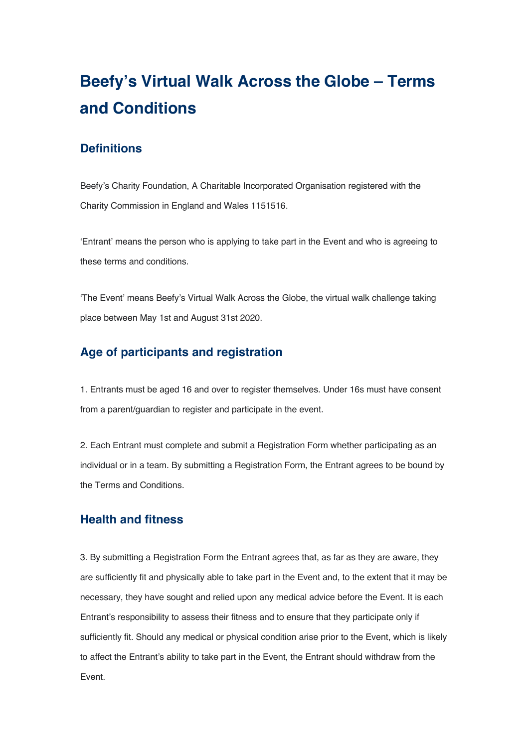# **Beefy's Virtual Walk Across the Globe – Terms and Conditions**

### **Definitions**

Beefy's Charity Foundation, A Charitable Incorporated Organisation registered with the Charity Commission in England and Wales 1151516.

'Entrant' means the person who is applying to take part in the Event and who is agreeing to these terms and conditions.

'The Event' means Beefy's Virtual Walk Across the Globe, the virtual walk challenge taking place between May 1st and August 31st 2020.

## **Age of participants and registration**

1. Entrants must be aged 16 and over to register themselves. Under 16s must have consent from a parent/guardian to register and participate in the event.

2. Each Entrant must complete and submit a Registration Form whether participating as an individual or in a team. By submitting a Registration Form, the Entrant agrees to be bound by the Terms and Conditions.

#### **Health and fitness**

3. By submitting a Registration Form the Entrant agrees that, as far as they are aware, they are sufficiently fit and physically able to take part in the Event and, to the extent that it may be necessary, they have sought and relied upon any medical advice before the Event. It is each Entrant's responsibility to assess their fitness and to ensure that they participate only if sufficiently fit. Should any medical or physical condition arise prior to the Event, which is likely to affect the Entrant's ability to take part in the Event, the Entrant should withdraw from the Event.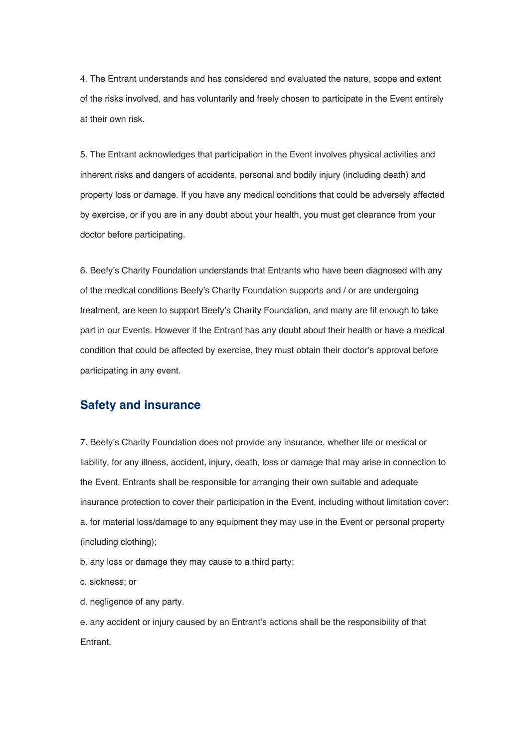4. The Entrant understands and has considered and evaluated the nature, scope and extent of the risks involved, and has voluntarily and freely chosen to participate in the Event entirely at their own risk.

5. The Entrant acknowledges that participation in the Event involves physical activities and inherent risks and dangers of accidents, personal and bodily injury (including death) and property loss or damage. If you have any medical conditions that could be adversely affected by exercise, or if you are in any doubt about your health, you must get clearance from your doctor before participating.

6. Beefy's Charity Foundation understands that Entrants who have been diagnosed with any of the medical conditions Beefy's Charity Foundation supports and / or are undergoing treatment, are keen to support Beefy's Charity Foundation, and many are fit enough to take part in our Events. However if the Entrant has any doubt about their health or have a medical condition that could be affected by exercise, they must obtain their doctor's approval before participating in any event.

#### **Safety and insurance**

7. Beefy's Charity Foundation does not provide any insurance, whether life or medical or liability, for any illness, accident, injury, death, loss or damage that may arise in connection to the Event. Entrants shall be responsible for arranging their own suitable and adequate insurance protection to cover their participation in the Event, including without limitation cover: a. for material loss/damage to any equipment they may use in the Event or personal property (including clothing);

b. any loss or damage they may cause to a third party;

c. sickness; or

d. negligence of any party.

e. any accident or injury caused by an Entrant's actions shall be the responsibility of that Entrant.